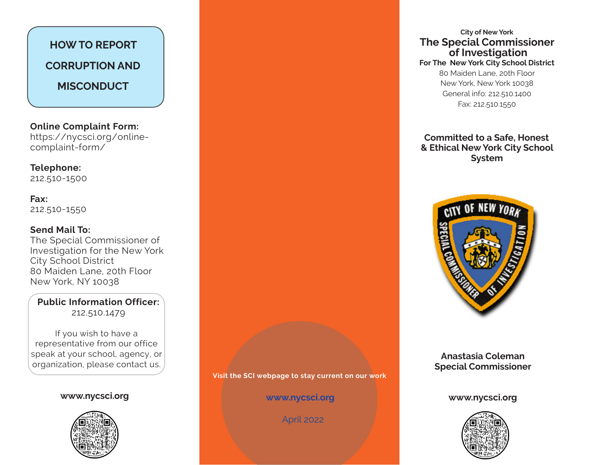# **HOW TO REPORT**

**CORRUPTION AND** 

# **MISCONDUCT**

**Online Complaint Form:** https://nycsci.org/onlinecomplaint-form/

**Telephone:** 212.510-1500

**Fax:** 212.510-1550

# **Send Mail To:**

The Special Commissioner of Investigation for the New York City School District 80 Maiden Lane, 20th Floor New York, NY 10038

**Public Information Officer:** 212.510.1479

If you wish to have a representative from our office speak at your school, agency, or organization, please contact us.

**www.nycsci.org www.nycsci.org www.nycsci.org**



**Visit the SCI webpage to stay current on our work**

April 2022

## **City of New York The Special Commissioner of Investigation**

# **For The New York City School District**

80 Maiden Lane, 20th Floor New York, New York 10038 General info: 212.510.1400 Fax: 212.510.1550

# **Committed to a Safe, Honest & Ethical New York City School System**



**Anastasia Coleman Special Commissioner**